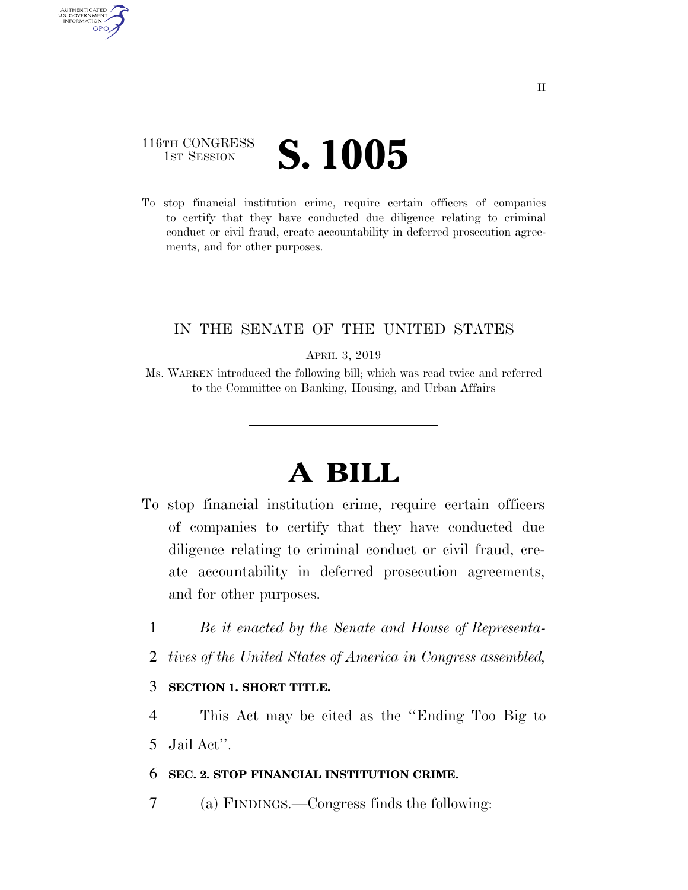## 116TH CONGRESS **IST SESSION S. 1005**

AUTHENTICATED U.S. GOVERNMENT **GPO** 

> To stop financial institution crime, require certain officers of companies to certify that they have conducted due diligence relating to criminal conduct or civil fraud, create accountability in deferred prosecution agreements, and for other purposes.

### IN THE SENATE OF THE UNITED STATES

APRIL 3, 2019

Ms. WARREN introduced the following bill; which was read twice and referred to the Committee on Banking, Housing, and Urban Affairs

# **A BILL**

- To stop financial institution crime, require certain officers of companies to certify that they have conducted due diligence relating to criminal conduct or civil fraud, create accountability in deferred prosecution agreements, and for other purposes.
	- 1 *Be it enacted by the Senate and House of Representa-*
	- 2 *tives of the United States of America in Congress assembled,*

### 3 **SECTION 1. SHORT TITLE.**

4 This Act may be cited as the ''Ending Too Big to 5 Jail Act''.

#### 6 **SEC. 2. STOP FINANCIAL INSTITUTION CRIME.**

7 (a) FINDINGS.—Congress finds the following: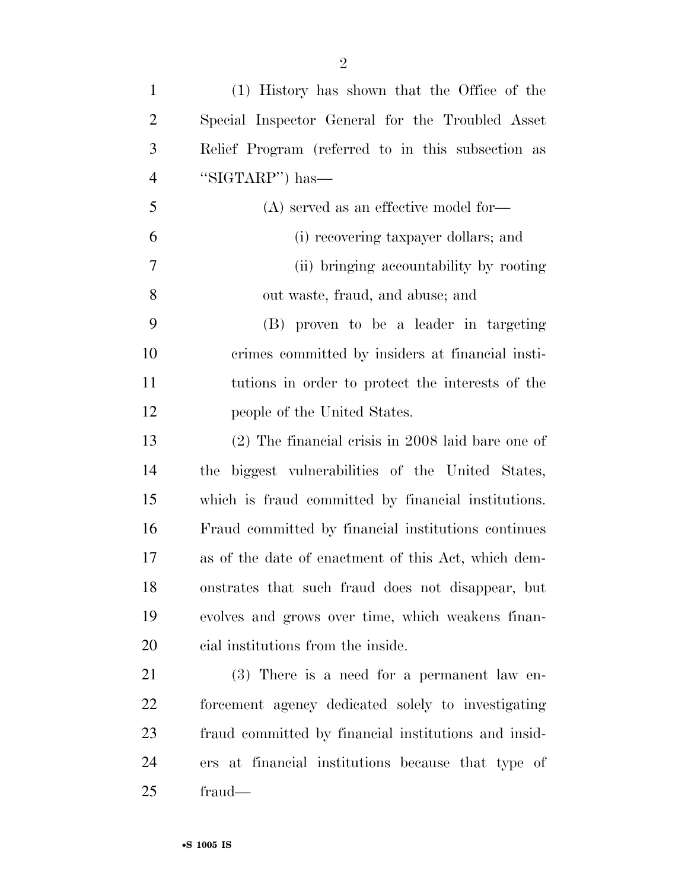| $\mathbf{1}$   | (1) History has shown that the Office of the         |
|----------------|------------------------------------------------------|
| $\overline{2}$ | Special Inspector General for the Troubled Asset     |
| 3              | Relief Program (referred to in this subsection as    |
| 4              | "SIGTARP") has—                                      |
| 5              | $(A)$ served as an effective model for-              |
| 6              | (i) recovering taxpayer dollars; and                 |
| 7              | (ii) bringing accountability by rooting              |
| 8              | out waste, fraud, and abuse; and                     |
| 9              | (B) proven to be a leader in targeting               |
| 10             | crimes committed by insiders at financial insti-     |
| <sup>11</sup>  | tutions in order to protect the interests of the     |
| 12             | people of the United States.                         |
| 13             | $(2)$ The financial crisis in 2008 laid bare one of  |
| 14             | biggest vulnerabilities of the United States,<br>the |
| 15             | which is fraud committed by financial institutions.  |
| 16             | Fraud committed by financial institutions continues  |
| 17             | as of the date of enactment of this Act, which dem-  |
| 18             | onstrates that such fraud does not disappear, but    |
| 19             | evolves and grows over time, which weakens finan-    |
| 20             | cial institutions from the inside.                   |
| 21             | $(3)$ There is a need for a permanent law en-        |
| 22             | forcement agency dedicated solely to investigating   |
| 23             | fraud committed by financial institutions and insid- |

 ers at financial institutions because that type of fraud—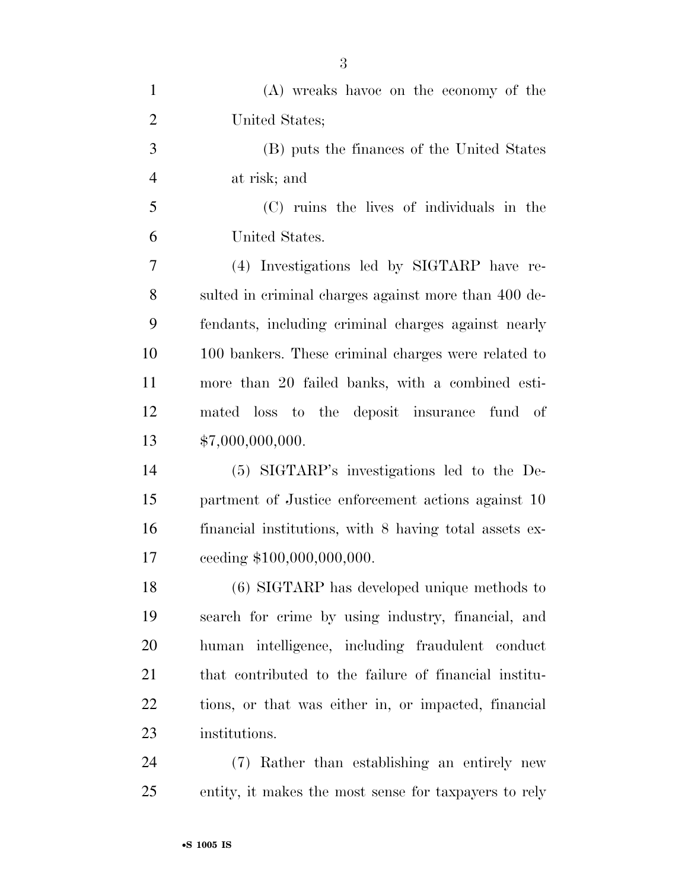| $\mathbf{1}$   | (A) wreaks havoe on the economy of the                 |
|----------------|--------------------------------------------------------|
| $\overline{2}$ | United States;                                         |
| 3              | (B) puts the finances of the United States             |
| $\overline{4}$ | at risk; and                                           |
| 5              | (C) ruins the lives of individuals in the              |
| 6              | United States.                                         |
| 7              | (4) Investigations led by SIGTARP have re-             |
| 8              | sulted in criminal charges against more than 400 de-   |
| 9              | fendants, including criminal charges against nearly    |
| 10             | 100 bankers. These criminal charges were related to    |
| 11             | more than 20 failed banks, with a combined esti-       |
| 12             | mated loss to the deposit insurance fund of            |
| 13             | \$7,000,000,000.                                       |
| 14             | (5) SIGTARP's investigations led to the De-            |
| 15             | partment of Justice enforcement actions against 10     |
| 16             | financial institutions, with 8 having total assets ex- |
| 17             | ceeding \$100,000,000,000.                             |
| 18             | (6) SIGTARP has developed unique methods to            |
| 19             | search for crime by using industry, financial, and     |
| 20             | human intelligence, including fraudulent conduct       |
| 21             | that contributed to the failure of financial institu-  |
| <u>22</u>      | tions, or that was either in, or impacted, financial   |
| 23             | institutions.                                          |
| 24             | (7) Rather than establishing an entirely new           |
| 25             | entity, it makes the most sense for taxpayers to rely  |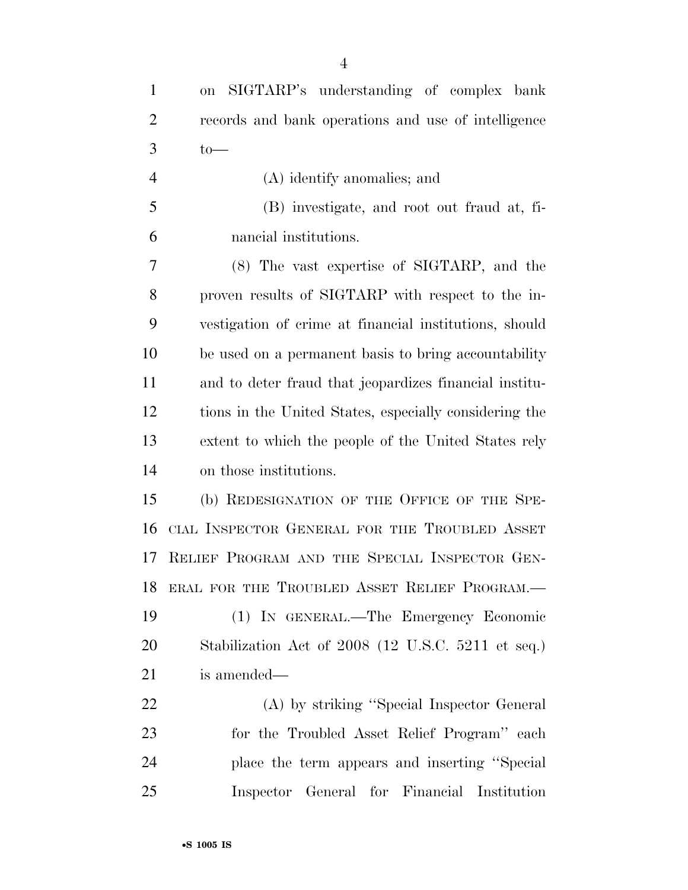on SIGTARP's understanding of complex bank records and bank operations and use of intelligence to —

 (A) identify anomalies; and (B) investigate, and root out fraud at, fi-nancial institutions.

 (8) The vast expertise of SIGTARP, and the proven results of SIGTARP with respect to the in- vestigation of crime at financial institutions, should be used on a permanent basis to bring accountability and to deter fraud that jeopardizes financial institu- tions in the United States, especially considering the extent to which the people of the United States rely on those institutions.

 (b) REDESIGNATION OF THE OFFICE OF THE SPE- CIAL INSPECTOR GENERAL FOR THE TROUBLED ASSET RELIEF PROGRAM AND THE SPECIAL INSPECTOR GEN- ERAL FOR THE TROUBLED ASSET RELIEF PROGRAM.— (1) IN GENERAL.—The Emergency Economic Stabilization Act of 2008 (12 U.S.C. 5211 et seq.) is amended—

 (A) by striking ''Special Inspector General for the Troubled Asset Relief Program'' each place the term appears and inserting ''Special Inspector General for Financial Institution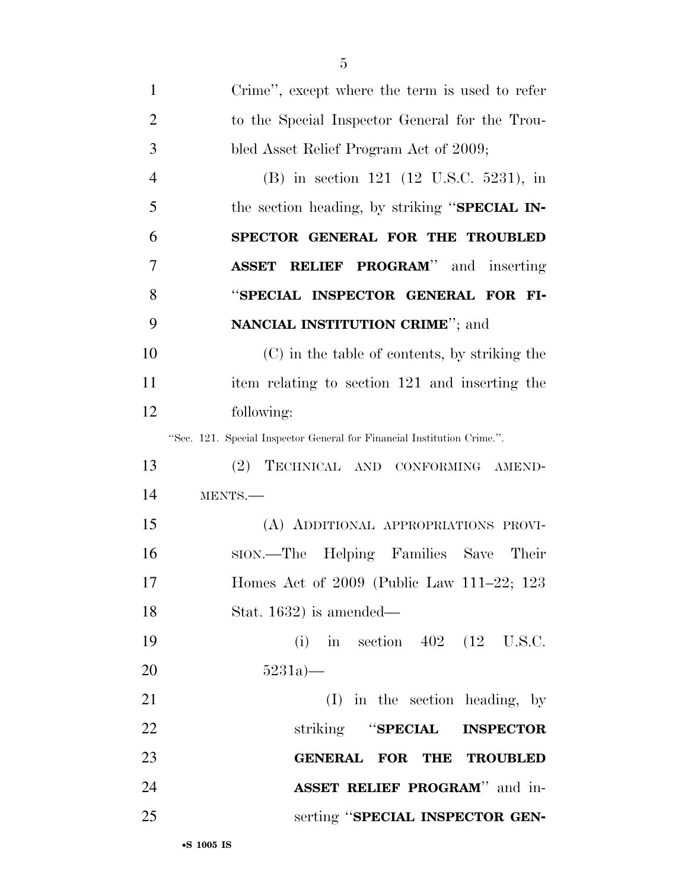| $\mathbf{1}$   | Crime", except where the term is used to refer                          |
|----------------|-------------------------------------------------------------------------|
| $\overline{2}$ | to the Special Inspector General for the Trou-                          |
| 3              | bled Asset Relief Program Act of 2009;                                  |
| $\overline{4}$ | (B) in section 121 (12 U.S.C. 5231), in                                 |
| 5              | the section heading, by striking "SPECIAL IN-                           |
| 6              | SPECTOR GENERAL FOR THE TROUBLED                                        |
| 7              | <b>ASSET RELIEF PROGRAM</b> " and inserting                             |
| 8              | "SPECIAL INSPECTOR GENERAL FOR FI-                                      |
| 9              | <b>NANCIAL INSTITUTION CRIME"</b> ; and                                 |
| 10             | (C) in the table of contents, by striking the                           |
| 11             | item relating to section 121 and inserting the                          |
| 12             | following:                                                              |
|                | "Sec. 121. Special Inspector General for Financial Institution Crime.". |
| 13             | (2)<br>TECHNICAL AND CONFORMING AMEND-                                  |
| 14             | MENTS.-                                                                 |
| 15             | (A) ADDITIONAL APPROPRIATIONS PROVI-                                    |
| 16             | sion.—The Helping Families Save<br>Their                                |
| 17             | Homes Act of 2009 (Public Law 111-22; 123                               |
| 18             | Stat. $1632$ ) is amended—                                              |
| 19             | (i) in section $402$ (12 U.S.C.                                         |
| 20             | 5231a                                                                   |
| 21             | $(I)$ in the section heading, by                                        |
| 22             | striking "SPECIAL INSPECTOR                                             |
| 23             | GENERAL FOR THE TROUBLED                                                |
| 24             | ASSET RELIEF PROGRAM" and in-                                           |
| 25             | serting "SPECIAL INSPECTOR GEN-                                         |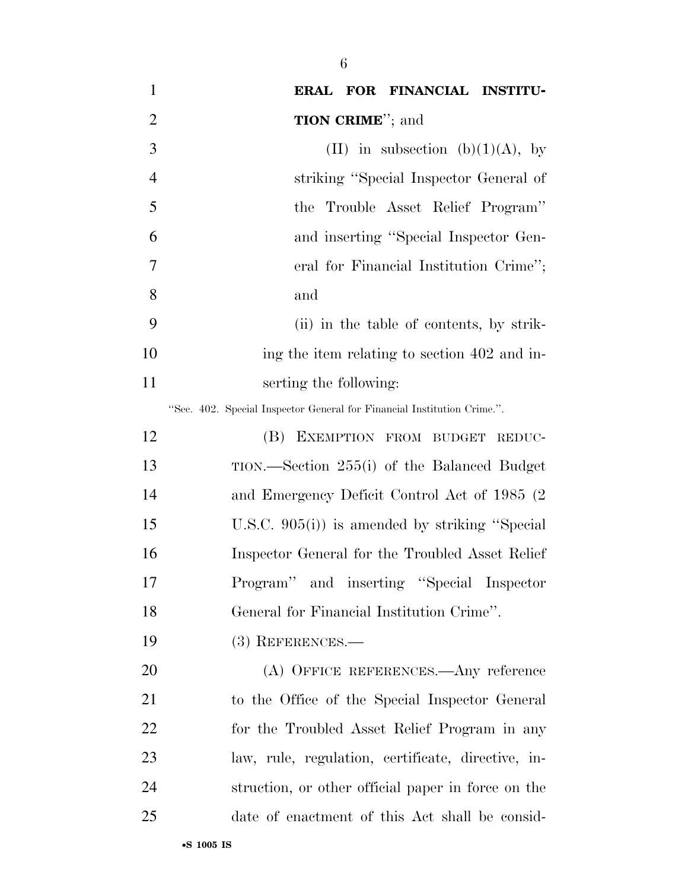| $\mathbf{1}$   | ERAL FOR FINANCIAL INSTITU-                                             |
|----------------|-------------------------------------------------------------------------|
| $\overline{2}$ | <b>TION CRIME</b> "; and                                                |
| 3              | (II) in subsection (b)(1)(A), by                                        |
| $\overline{4}$ | striking "Special Inspector General of                                  |
| 5              | the Trouble Asset Relief Program"                                       |
| 6              | and inserting "Special Inspector Gen-                                   |
| 7              | eral for Financial Institution Crime";                                  |
| 8              | and                                                                     |
| 9              | (ii) in the table of contents, by strik-                                |
| 10             | ing the item relating to section 402 and in-                            |
| 11             | serting the following:                                                  |
|                | "Sec. 402. Special Inspector General for Financial Institution Crime.". |
| 12             | (B)<br>EXEMPTION FROM BUDGET REDUC-                                     |
| 13             | TION.—Section 255(i) of the Balanced Budget                             |
| 14             | and Emergency Deficit Control Act of 1985 (2)                           |
| 15             | U.S.C. $905(i)$ is amended by striking "Special"                        |
| 16             | Inspector General for the Troubled Asset Relief                         |
| 17             | Program" and inserting "Special Inspector                               |
| 18             | General for Financial Institution Crime".                               |
| 19             | $(3)$ REFERENCES.—                                                      |
| 20             | (A) OFFICE REFERENCES.—Any reference                                    |
| 21             | to the Office of the Special Inspector General                          |
| 22             | for the Troubled Asset Relief Program in any                            |
| 23             | law, rule, regulation, certificate, directive, in-                      |
| 24             | struction, or other official paper in force on the                      |
| 25             | date of enactment of this Act shall be consid-                          |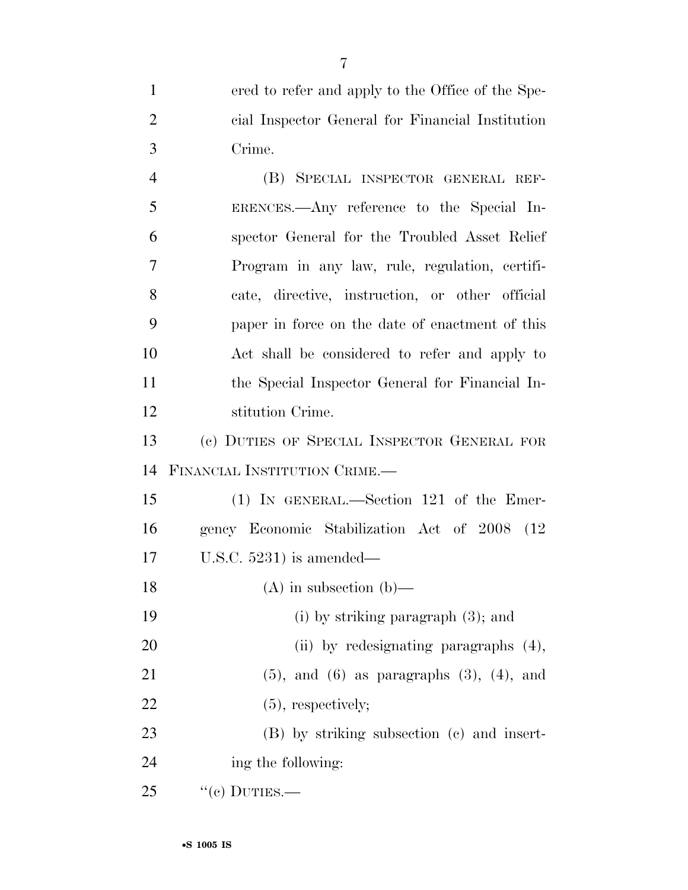ered to refer and apply to the Office of the Spe- cial Inspector General for Financial Institution Crime.

 (B) SPECIAL INSPECTOR GENERAL REF- ERENCES.—Any reference to the Special In- spector General for the Troubled Asset Relief Program in any law, rule, regulation, certifi- cate, directive, instruction, or other official paper in force on the date of enactment of this Act shall be considered to refer and apply to the Special Inspector General for Financial In-stitution Crime.

 (c) DUTIES OF SPECIAL INSPECTOR GENERAL FOR FINANCIAL INSTITUTION CRIME.—

 (1) IN GENERAL.—Section 121 of the Emer- gency Economic Stabilization Act of 2008 (12 U.S.C. 5231) is amended—

(A) in subsection (b)—

(i) by striking paragraph (3); and

20 (ii) by redesignating paragraphs  $(4)$ ,

(5), and (6) as paragraphs (3), (4), and

22 (5), respectively;

 (B) by striking subsection (c) and insert-ing the following:

"(c) DUTIES.—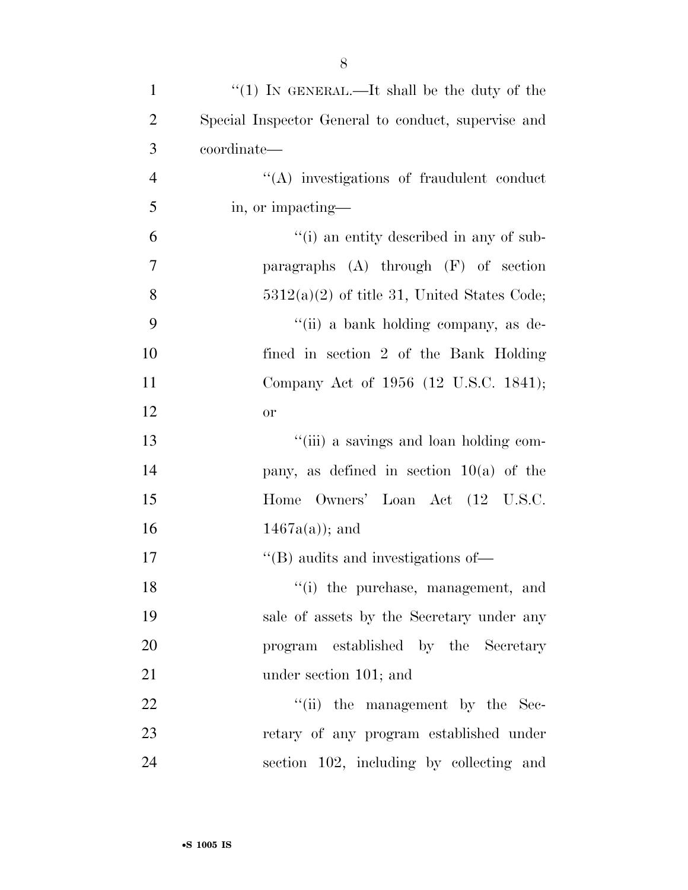| $\mathbf{1}$   | "(1) IN GENERAL.—It shall be the duty of the              |
|----------------|-----------------------------------------------------------|
| $\overline{2}$ | Special Inspector General to conduct, supervise and       |
| 3              | coordinate—                                               |
| $\overline{4}$ | "(A) investigations of fraudulent conduct                 |
| 5              | in, or impacting—                                         |
| 6              | "(i) an entity described in any of sub-                   |
| 7              | paragraphs $(A)$ through $(F)$ of section                 |
| 8              | $5312(a)(2)$ of title 31, United States Code;             |
| 9              | "(ii) a bank holding company, as de-                      |
| 10             | fined in section 2 of the Bank Holding                    |
| 11             | Company Act of 1956 (12 U.S.C. 1841);                     |
| 12             | <b>or</b>                                                 |
| 13             | "(iii) a savings and loan holding com-                    |
| 14             | pany, as defined in section $10(a)$ of the                |
| 15             | Owners' Loan Act (12 U.S.C.<br>Home                       |
| 16             | $1467a(a)$ ; and                                          |
| 17             | $\lq$ <sup>"</sup> (B) audits and investigations of $\lq$ |
| 18             | "(i) the purchase, management, and                        |
| 19             | sale of assets by the Secretary under any                 |
| 20             | program established by the Secretary                      |
| 21             | under section 101; and                                    |
| 22             | "(ii) the management by the Sec-                          |
| 23             | retary of any program established under                   |
| 24             | section 102, including by collecting and                  |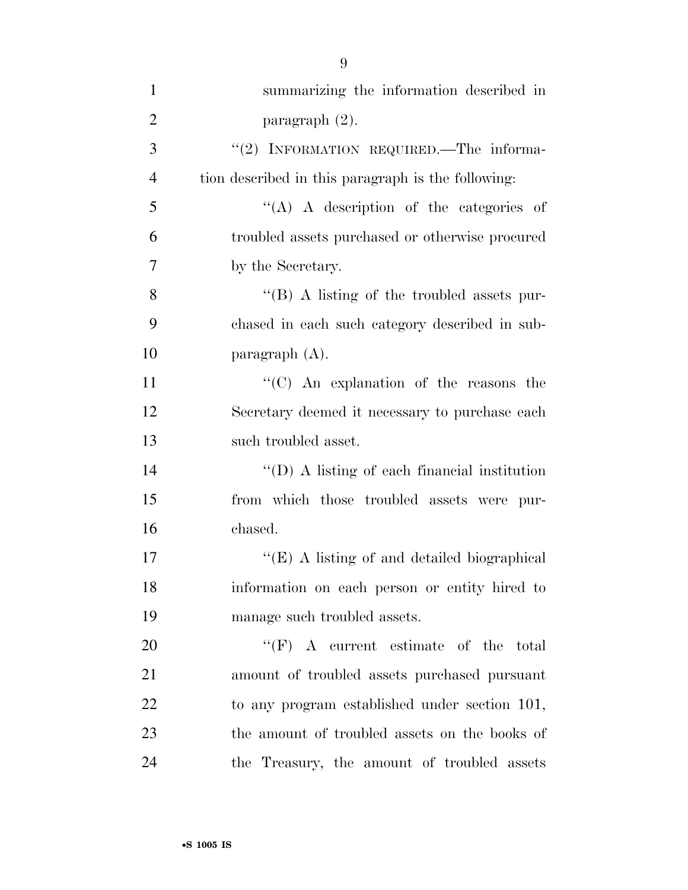| $\mathbf{1}$   | summarizing the information described in             |
|----------------|------------------------------------------------------|
| $\overline{2}$ | paragraph $(2)$ .                                    |
| 3              | "(2) INFORMATION REQUIRED.—The informa-              |
| $\overline{4}$ | tion described in this paragraph is the following:   |
| 5              | "(A) A description of the categories of              |
| 6              | troubled assets purchased or otherwise procured      |
| 7              | by the Secretary.                                    |
| 8              | $\lq\lq (B)$ A listing of the troubled assets pur-   |
| 9              | chased in each such category described in sub-       |
| 10             | paragraph $(A)$ .                                    |
| 11             | "(C) An explanation of the reasons the               |
| 12             | Secretary deemed it necessary to purchase each       |
| 13             | such troubled asset.                                 |
| 14             | $\lq\lq$ (D) A listing of each financial institution |
| 15             | from which those troubled assets were pur-           |
| 16             | chased.                                              |
| 17             | " $(E)$ A listing of and detailed biographical       |
| 18             | information on each person or entity hired to        |
| 19             | manage such troubled assets.                         |
| 20             | $``(F)$ A current estimate of the total              |
| 21             | amount of troubled assets purchased pursuant         |
| 22             | to any program established under section 101,        |
| 23             | the amount of troubled assets on the books of        |
| 24             | the Treasury, the amount of troubled assets          |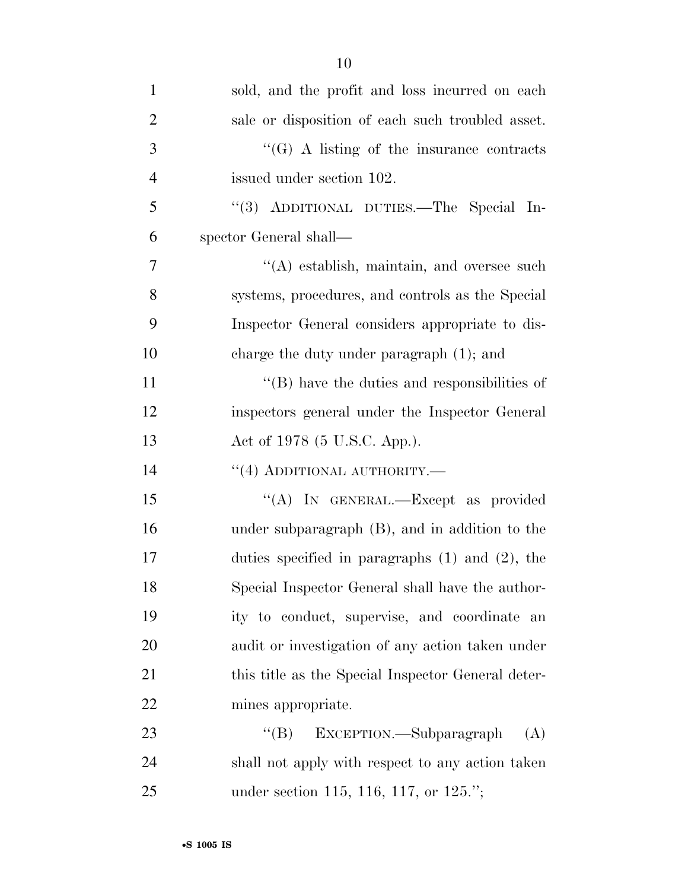| $\mathbf{1}$   | sold, and the profit and loss incurred on each       |
|----------------|------------------------------------------------------|
| $\overline{2}$ | sale or disposition of each such troubled asset.     |
| 3              | $\lq\lq(G)$ A listing of the insurance contracts     |
| $\overline{4}$ | issued under section 102.                            |
| 5              | "(3) ADDITIONAL DUTIES.—The Special In-              |
| 6              | spector General shall—                               |
| 7              | $\lq\lq$ establish, maintain, and oversee such       |
| 8              | systems, procedures, and controls as the Special     |
| 9              | Inspector General considers appropriate to dis-      |
| 10             | charge the duty under paragraph $(1)$ ; and          |
| 11             | $\lq\lq$ (B) have the duties and responsibilities of |
| 12             | inspectors general under the Inspector General       |
| 13             | Act of 1978 (5 U.S.C. App.).                         |
| 14             | $``(4)$ ADDITIONAL AUTHORITY.—                       |
| 15             | "(A) IN GENERAL.—Except as provided                  |
| 16             | under subparagraph (B), and in addition to the       |
| 17             | duties specified in paragraphs $(1)$ and $(2)$ , the |
| 18             | Special Inspector General shall have the author-     |
| 19             | ity to conduct, supervise, and coordinate an         |
| 20             | audit or investigation of any action taken under     |
| 21             | this title as the Special Inspector General deter-   |
| 22             | mines appropriate.                                   |
| 23             | $\lq\lq (B)$<br>EXCEPTION.—Subparagraph<br>(A)       |
| 24             | shall not apply with respect to any action taken     |
| 25             | under section 115, 116, 117, or 125.";               |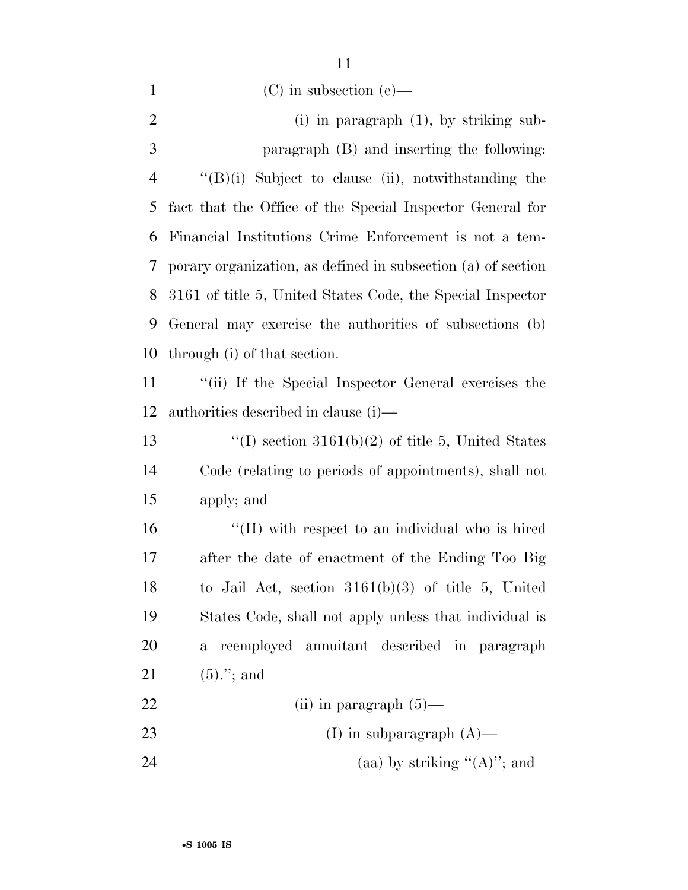|                | 11                                                           |
|----------------|--------------------------------------------------------------|
| 1              | $(C)$ in subsection $(e)$ —                                  |
| $\overline{2}$ | $(i)$ in paragraph $(1)$ , by striking sub-                  |
| 3              | paragraph (B) and inserting the following:                   |
| $\overline{4}$ | $\lq\lq(B)(i)$ Subject to clause (ii), notwithstanding the   |
| 5              | fact that the Office of the Special Inspector General for    |
| 6              | Financial Institutions Crime Enforcement is not a tem-       |
| 7              | porary organization, as defined in subsection (a) of section |
| 8              | 3161 of title 5, United States Code, the Special Inspector   |
| 9              | General may exercise the authorities of subsections (b)      |
| 10             | through (i) of that section.                                 |
| 11             | "(ii) If the Special Inspector General exercises the         |
| 12             | authorities described in clause (i)—                         |
| 13             | "(I) section $3161(b)(2)$ of title 5, United States          |
| 14             | Code (relating to periods of appointments), shall not        |
| 15             | apply; and                                                   |
| 16             | "(II) with respect to an individual who is hired             |
| 17             | after the date of enactment of the Ending Too Big            |
|                |                                                              |

 to Jail Act, section 3161(b)(3) of title 5, United States Code, shall not apply unless that individual is a reemployed annuitant described in paragraph (5).''; and

 (ii) in paragraph (5)— (I) in subparagraph (A)— 24 (aa) by striking  $"({\bf A})"$ ; and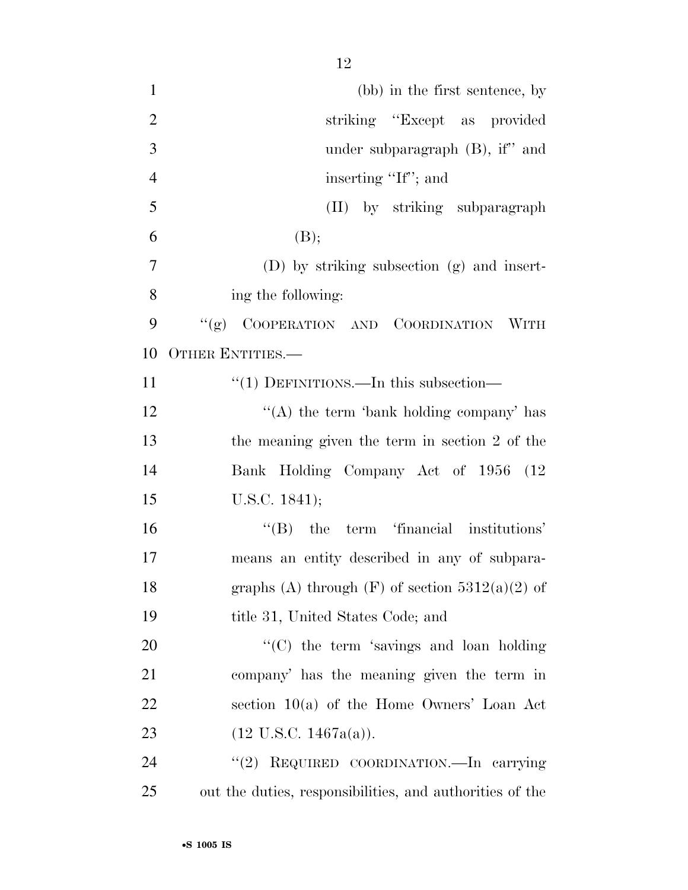| $\mathbf{1}$   | (bb) in the first sentence, by                           |
|----------------|----------------------------------------------------------|
| $\overline{2}$ | striking "Except as provided"                            |
| 3              | under subparagraph $(B)$ , if" and                       |
| $\overline{4}$ | inserting "If"; and                                      |
| 5              | (II) by striking subparagraph                            |
| 6              | (B);                                                     |
| 7              | $(D)$ by striking subsection $(g)$ and insert-           |
| 8              | ing the following:                                       |
| 9              | "(g) COOPERATION AND COORDINATION WITH                   |
| 10             | <b>OTHER ENTITIES.—</b>                                  |
| 11             | $\cdot\cdot(1)$ DEFINITIONS.—In this subsection—         |
| 12             | "(A) the term 'bank holding company' has                 |
| 13             | the meaning given the term in section 2 of the           |
| 14             | Bank Holding Company Act of 1956 (12                     |
| 15             | U.S.C. $1841$ );                                         |
| 16             | $\lq\lq$ (B) the term 'financial institutions'           |
| 17             | means an entity described in any of subpara-             |
| 18             | graphs (A) through $(F)$ of section 5312(a)(2) of        |
| 19             | title 31, United States Code; and                        |
| 20             | "(C) the term 'savings and loan holding                  |
| 21             | company' has the meaning given the term in               |
| 22             | section $10(a)$ of the Home Owners' Loan Act             |
| 23             | $(12 \text{ U.S.C. } 1467a(a)).$                         |
| 24             | "(2) REQUIRED COORDINATION.—In carrying                  |
| 25             | out the duties, responsibilities, and authorities of the |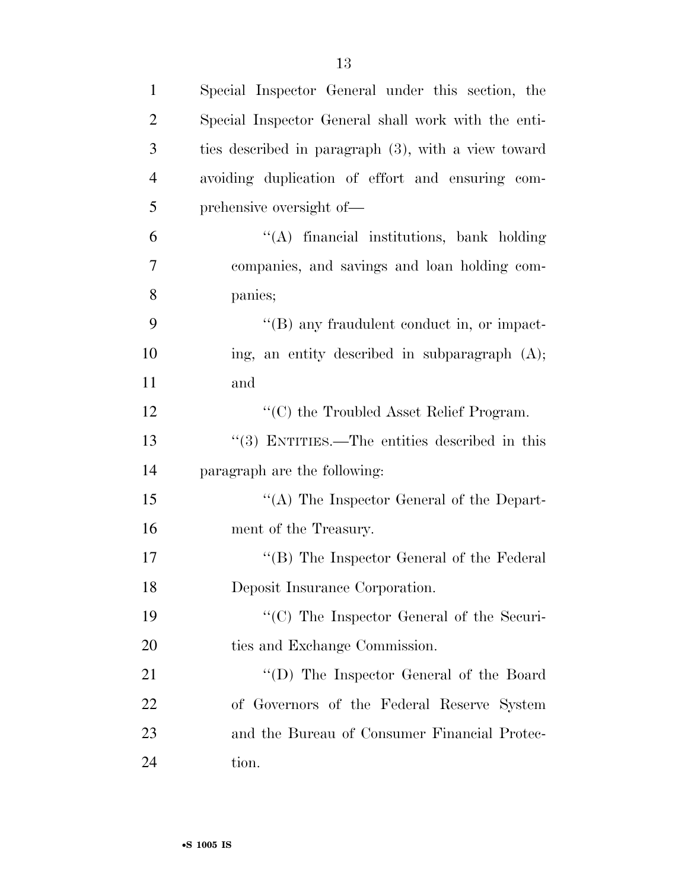| $\mathbf{1}$   | Special Inspector General under this section, the   |
|----------------|-----------------------------------------------------|
| $\overline{2}$ | Special Inspector General shall work with the enti- |
| 3              | ties described in paragraph (3), with a view toward |
| $\overline{4}$ | avoiding duplication of effort and ensuring com-    |
| 5              | prehensive oversight of—                            |
| 6              | "(A) financial institutions, bank holding           |
| 7              | companies, and savings and loan holding com-        |
| 8              | panies;                                             |
| 9              | $\lq\lq (B)$ any fraudulent conduct in, or impact-  |
| 10             | ing, an entity described in subparagraph $(A)$ ;    |
| 11             | and                                                 |
| 12             | $\lq\lq$ (C) the Troubled Asset Relief Program.     |
| 13             | "(3) ENTITIES.—The entities described in this       |
| 14             | paragraph are the following:                        |
| 15             | "(A) The Inspector General of the Depart-           |
| 16             | ment of the Treasury.                               |
| 17             | "(B) The Inspector General of the Federal           |
| 18             | Deposit Insurance Corporation.                      |
| 19             | $\cdot$ (C) The Inspector General of the Securi-    |
| 20             | ties and Exchange Commission.                       |
| 21             | "(D) The Inspector General of the Board             |
| 22             | of Governors of the Federal Reserve System          |
| 23             | and the Bureau of Consumer Financial Protec-        |
| 24             | tion.                                               |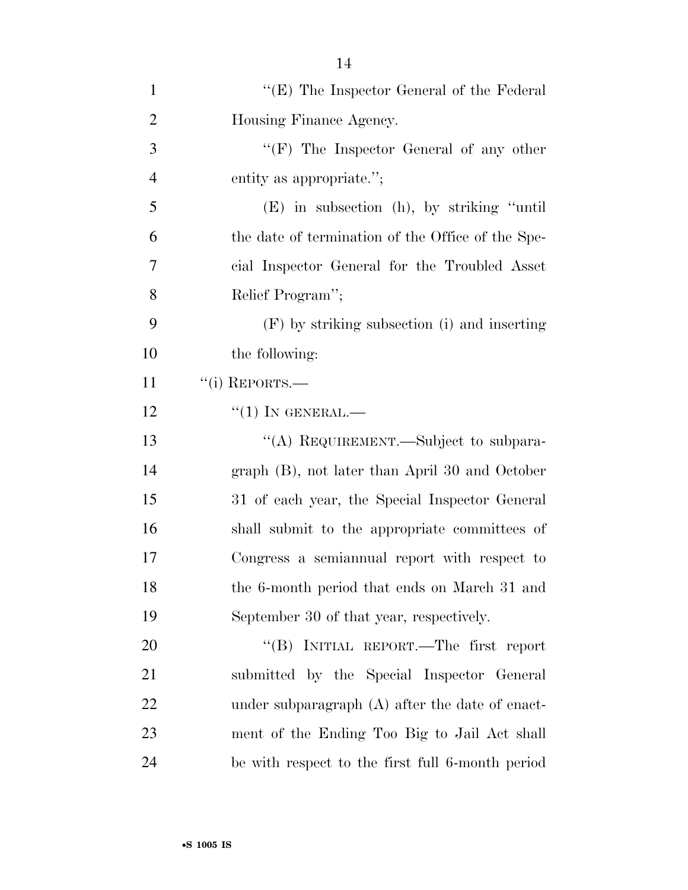| $\mathbf{1}$   | " $(E)$ The Inspector General of the Federal"     |
|----------------|---------------------------------------------------|
| $\overline{2}$ | Housing Finance Agency.                           |
| 3              | "(F) The Inspector General of any other           |
| $\overline{4}$ | entity as appropriate.";                          |
| 5              | (E) in subsection (h), by striking "until         |
| 6              | the date of termination of the Office of the Spe- |
| 7              | cial Inspector General for the Troubled Asset     |
| 8              | Relief Program";                                  |
| 9              | (F) by striking subsection (i) and inserting      |
| 10             | the following:                                    |
| 11             | $``(i)$ REPORTS.—                                 |
| 12             | $``(1)$ In GENERAL.—                              |
| 13             | "(A) REQUIREMENT.—Subject to subpara-             |
| 14             | graph (B), not later than April 30 and October    |
| 15             | 31 of each year, the Special Inspector General    |
| 16             | shall submit to the appropriate committees of     |
| 17             | Congress a semiannual report with respect to      |
| 18             | the 6-month period that ends on March 31 and      |
| 19             | September 30 of that year, respectively.          |
| 20             | "(B) INITIAL REPORT.—The first report             |
| 21             | submitted by the Special Inspector General        |
| 22             | under subparagraph $(A)$ after the date of enact- |
| 23             | ment of the Ending Too Big to Jail Act shall      |
| 24             | be with respect to the first full 6-month period  |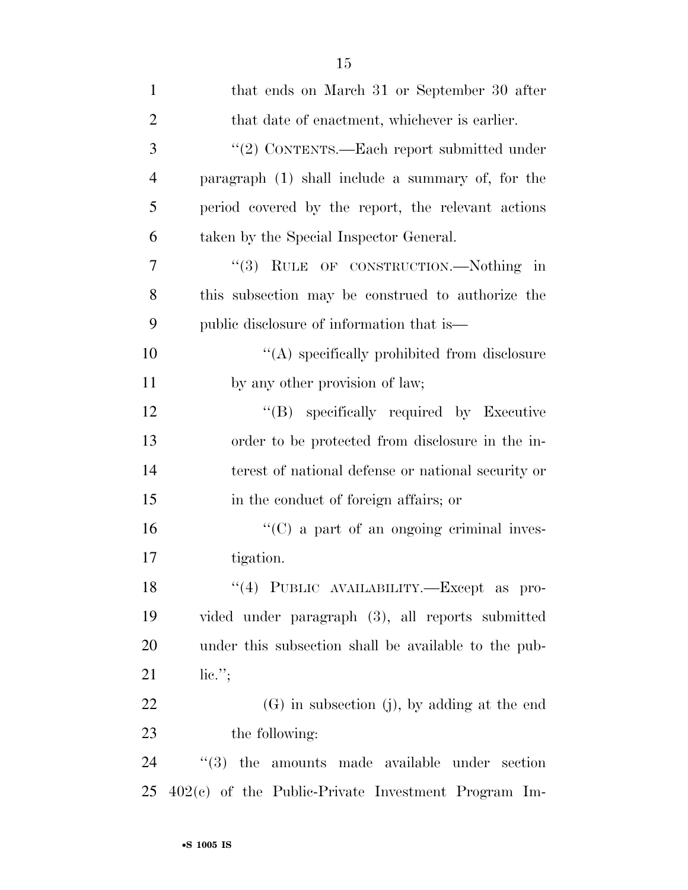| $\mathbf{1}$   | that ends on March 31 or September 30 after           |
|----------------|-------------------------------------------------------|
| $\overline{2}$ | that date of enactment, whichever is earlier.         |
| 3              | "(2) CONTENTS.—Each report submitted under            |
| $\overline{4}$ | paragraph (1) shall include a summary of, for the     |
| 5              | period covered by the report, the relevant actions    |
| 6              | taken by the Special Inspector General.               |
| 7              | "(3) RULE OF CONSTRUCTION.—Nothing in                 |
| 8              | this subsection may be construed to authorize the     |
| 9              | public disclosure of information that is—             |
| 10             | $\lq\lq$ specifically prohibited from disclosure      |
| 11             | by any other provision of law;                        |
| 12             | "(B) specifically required by Executive               |
| 13             | order to be protected from disclosure in the in-      |
| 14             | terest of national defense or national security or    |
| 15             | in the conduct of foreign affairs; or                 |
| 16             | $\lq\lq$ (C) a part of an ongoing criminal inves-     |
| 17             | tigation.                                             |
| 18             | "(4) PUBLIC AVAILABILITY.-Except as pro-              |
| 19             | vided under paragraph (3), all reports submitted      |
| <b>20</b>      | under this subsection shall be available to the pub-  |
| 21             | $\mathrm{lic.}$ ";                                    |
| 22             | $(G)$ in subsection (j), by adding at the end         |
| 23             | the following:                                        |
| 24             | $(3)$ the amounts made available under section        |
| 25             | $402(c)$ of the Public-Private Investment Program Im- |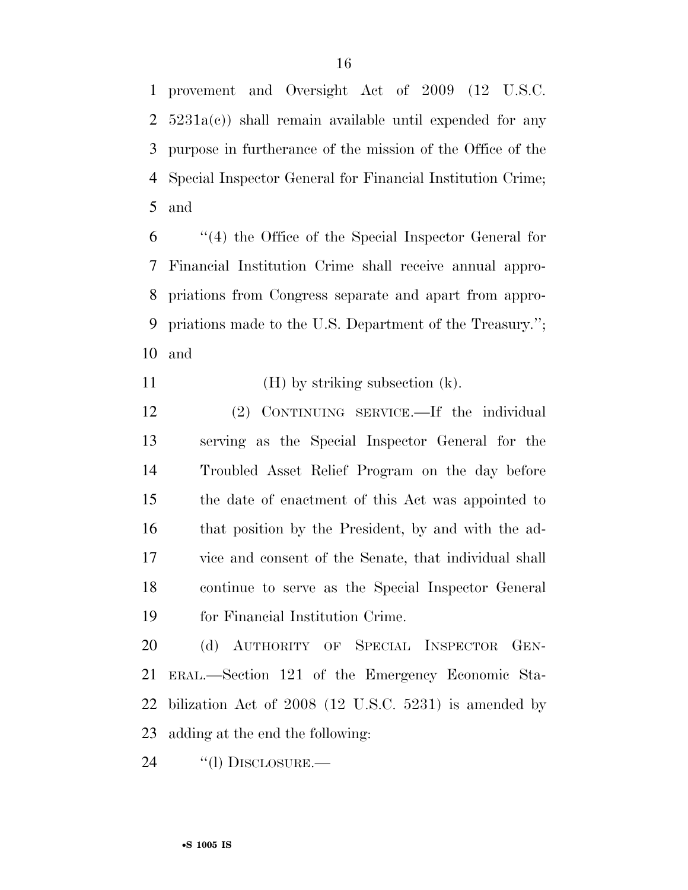provement and Oversight Act of 2009 (12 U.S.C.  $5231a(c)$  shall remain available until expended for any purpose in furtherance of the mission of the Office of the Special Inspector General for Financial Institution Crime; and

 ''(4) the Office of the Special Inspector General for Financial Institution Crime shall receive annual appro- priations from Congress separate and apart from appro- priations made to the U.S. Department of the Treasury.''; and

11 (H) by striking subsection (k).

 (2) CONTINUING SERVICE.—If the individual serving as the Special Inspector General for the Troubled Asset Relief Program on the day before the date of enactment of this Act was appointed to that position by the President, by and with the ad- vice and consent of the Senate, that individual shall continue to serve as the Special Inspector General for Financial Institution Crime.

 (d) AUTHORITY OF SPECIAL INSPECTOR GEN- ERAL.—Section 121 of the Emergency Economic Sta- bilization Act of 2008 (12 U.S.C. 5231) is amended by adding at the end the following:

24 "(1) DISCLOSURE.—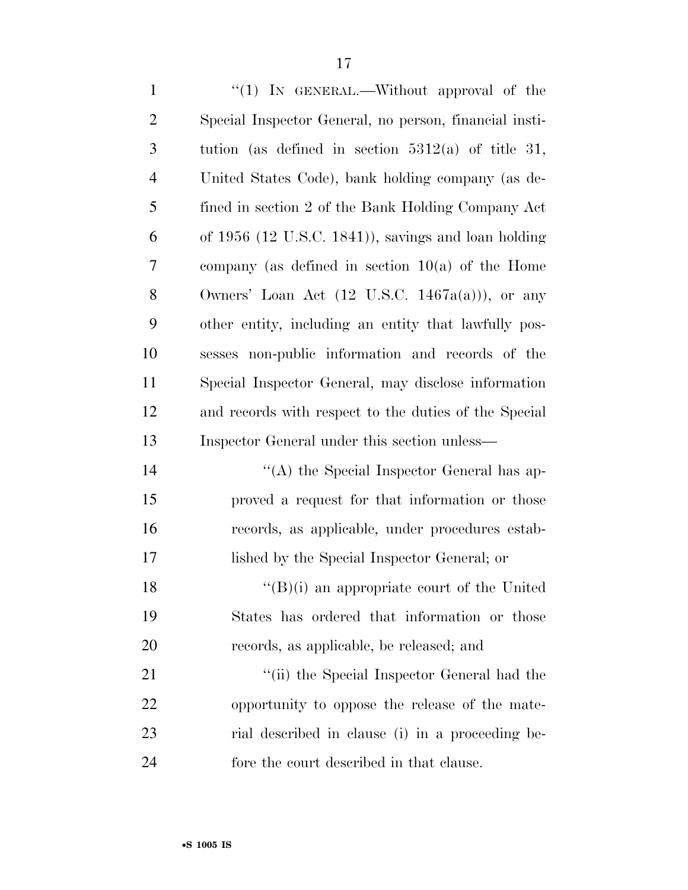1 "(1) IN GENERAL.—Without approval of the Special Inspector General, no person, financial insti- tution (as defined in section 5312(a) of title 31, United States Code), bank holding company (as de- fined in section 2 of the Bank Holding Company Act of 1956 (12 U.S.C. 1841)), savings and loan holding company (as defined in section 10(a) of the Home 8 Owners' Loan Act  $(12 \text{ U.S.C. } 1467a(a))$ , or any other entity, including an entity that lawfully pos- sesses non-public information and records of the Special Inspector General, may disclose information and records with respect to the duties of the Special Inspector General under this section unless— 14 ''(A) the Special Inspector General has ap-

 proved a request for that information or those records, as applicable, under procedures estab-lished by the Special Inspector General; or

18  $\langle (B)(i) \rangle$  an appropriate court of the United States has ordered that information or those records, as applicable, be released; and

21 ''(ii) the Special Inspector General had the opportunity to oppose the release of the mate- rial described in clause (i) in a proceeding be-fore the court described in that clause.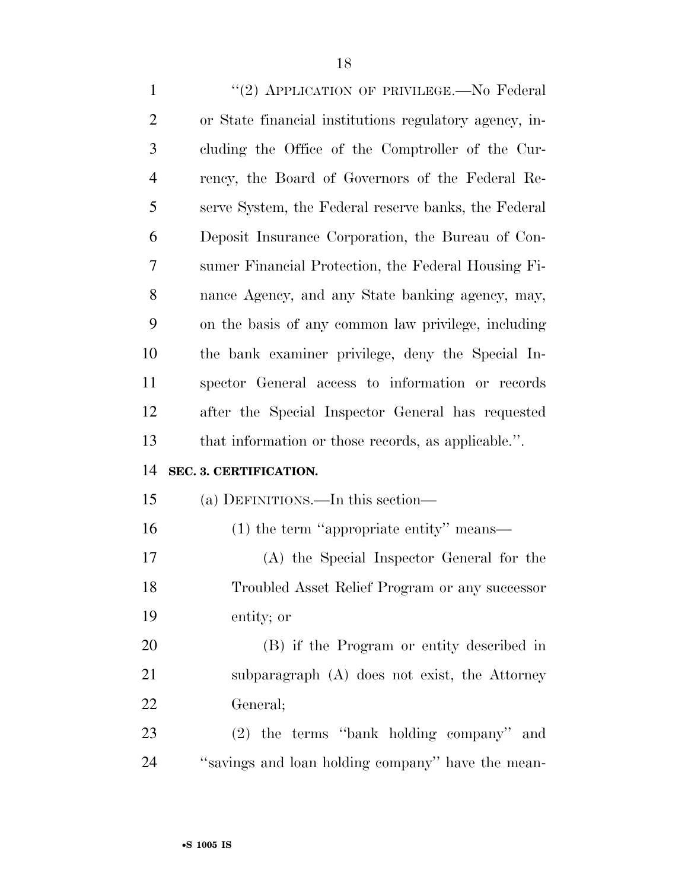1 "(2) APPLICATION OF PRIVILEGE.—No Federal or State financial institutions regulatory agency, in- cluding the Office of the Comptroller of the Cur- rency, the Board of Governors of the Federal Re- serve System, the Federal reserve banks, the Federal Deposit Insurance Corporation, the Bureau of Con- sumer Financial Protection, the Federal Housing Fi- nance Agency, and any State banking agency, may, on the basis of any common law privilege, including the bank examiner privilege, deny the Special In- spector General access to information or records after the Special Inspector General has requested that information or those records, as applicable.''. **SEC. 3. CERTIFICATION.**  (a) DEFINITIONS.—In this section— (1) the term ''appropriate entity'' means— (A) the Special Inspector General for the Troubled Asset Relief Program or any successor entity; or (B) if the Program or entity described in subparagraph (A) does not exist, the Attorney General; (2) the terms ''bank holding company'' and ''savings and loan holding company'' have the mean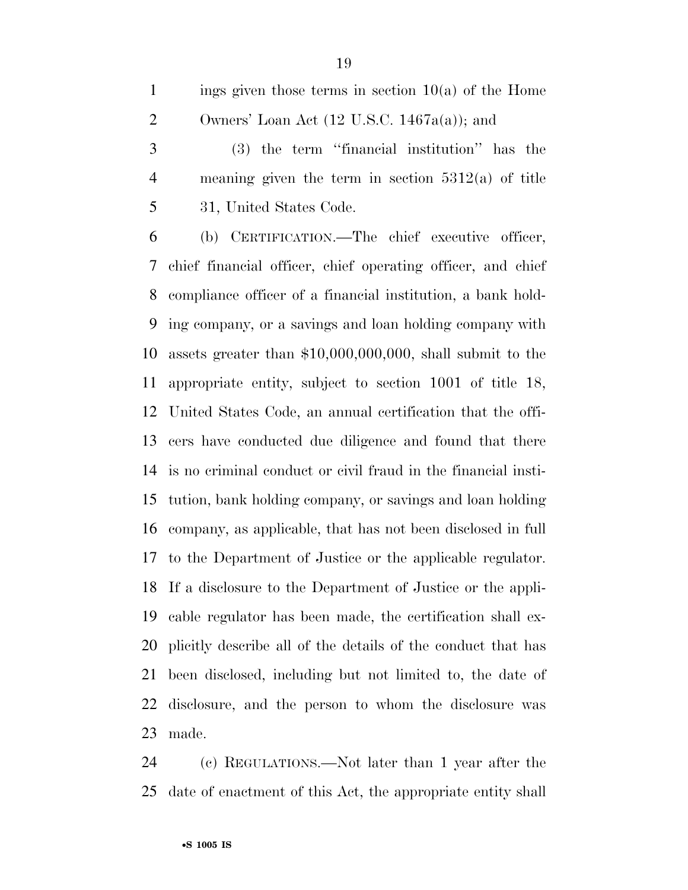1 ings given those terms in section  $10(a)$  of the Home 2 Owners' Loan Act  $(12 \text{ U.S.C. } 1467a(a))$ ; and

 (3) the term ''financial institution'' has the meaning given the term in section 5312(a) of title 31, United States Code.

 (b) CERTIFICATION.—The chief executive officer, chief financial officer, chief operating officer, and chief compliance officer of a financial institution, a bank hold- ing company, or a savings and loan holding company with assets greater than \$10,000,000,000, shall submit to the appropriate entity, subject to section 1001 of title 18, United States Code, an annual certification that the offi- cers have conducted due diligence and found that there is no criminal conduct or civil fraud in the financial insti- tution, bank holding company, or savings and loan holding company, as applicable, that has not been disclosed in full to the Department of Justice or the applicable regulator. If a disclosure to the Department of Justice or the appli- cable regulator has been made, the certification shall ex- plicitly describe all of the details of the conduct that has been disclosed, including but not limited to, the date of disclosure, and the person to whom the disclosure was made.

 (c) REGULATIONS.—Not later than 1 year after the date of enactment of this Act, the appropriate entity shall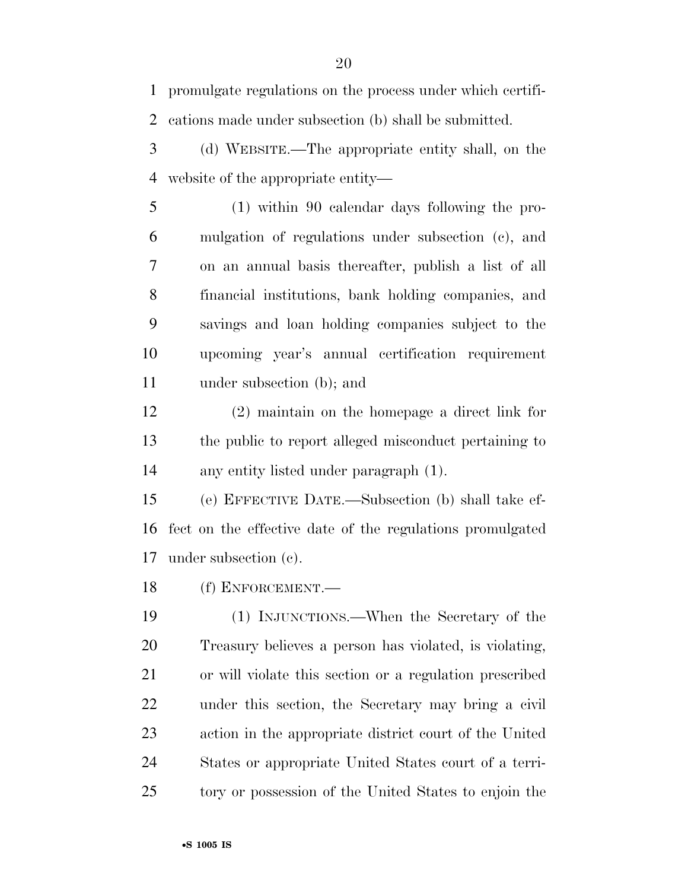promulgate regulations on the process under which certifi-cations made under subsection (b) shall be submitted.

- (d) WEBSITE.—The appropriate entity shall, on the website of the appropriate entity—
- (1) within 90 calendar days following the pro- mulgation of regulations under subsection (c), and on an annual basis thereafter, publish a list of all financial institutions, bank holding companies, and savings and loan holding companies subject to the upcoming year's annual certification requirement under subsection (b); and
- (2) maintain on the homepage a direct link for the public to report alleged misconduct pertaining to any entity listed under paragraph (1).
- (e) EFFECTIVE DATE.—Subsection (b) shall take ef- fect on the effective date of the regulations promulgated under subsection (c).
- (f) ENFORCEMENT.—
- (1) INJUNCTIONS.—When the Secretary of the Treasury believes a person has violated, is violating, or will violate this section or a regulation prescribed under this section, the Secretary may bring a civil action in the appropriate district court of the United States or appropriate United States court of a terri-tory or possession of the United States to enjoin the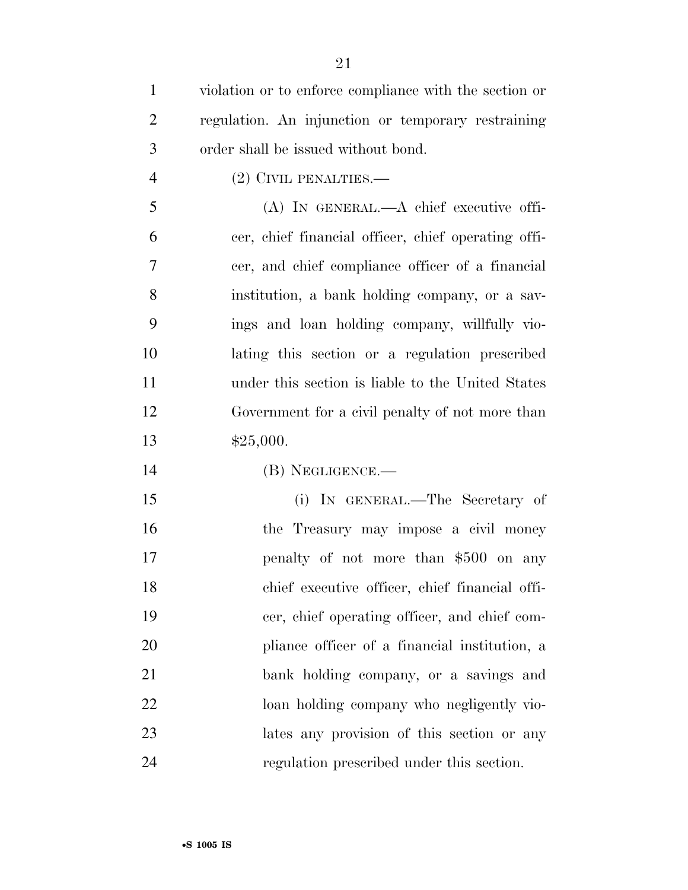| $\mathbf{1}$   | violation or to enforce compliance with the section or |
|----------------|--------------------------------------------------------|
| $\overline{2}$ | regulation. An injunction or temporary restraining     |
| 3              | order shall be issued without bond.                    |
| $\overline{4}$ | (2) CIVIL PENALTIES.-                                  |
| 5              | $(A)$ In GENERAL.— $A$ chief executive offi-           |
| 6              | cer, chief financial officer, chief operating offi-    |
| 7              | cer, and chief compliance officer of a financial       |
| 8              | institution, a bank holding company, or a sav-         |
| 9              | ings and loan holding company, willfully vio-          |
| 10             | lating this section or a regulation prescribed         |
| 11             | under this section is liable to the United States      |
| 12             | Government for a civil penalty of not more than        |
| 13             | \$25,000.                                              |
| 14             | (B) NEGLIGENCE.—                                       |
| 15             | (i) IN GENERAL.—The Secretary of                       |
| 16             | the Treasury may impose a civil money                  |
| 17             | penalty of not more than \$500 on any                  |
| 18             | chief executive officer, chief financial offi-         |
| 19             | cer, chief operating officer, and chief com-           |
| 20             | pliance officer of a financial institution, a          |
| 21             | bank holding company, or a savings and                 |
| 22             | loan holding company who negligently vio-              |
| 23             | lates any provision of this section or any             |
| 24             | regulation prescribed under this section.              |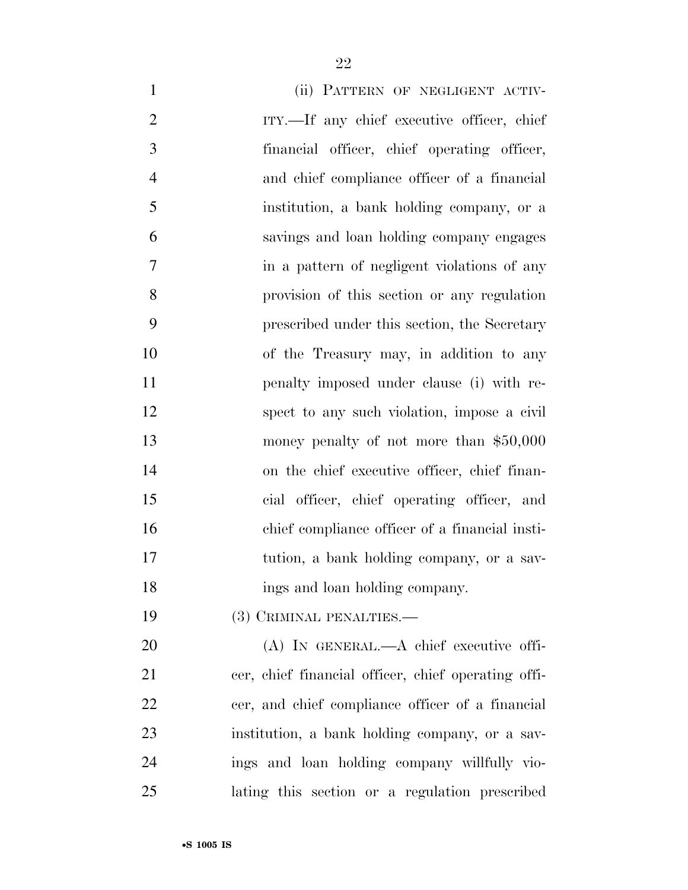| $\mathbf{1}$   | (ii) PATTERN OF NEGLIGENT ACTIV-                  |
|----------------|---------------------------------------------------|
| $\overline{2}$ | ITY.—If any chief executive officer, chief        |
| 3              | financial officer, chief operating officer,       |
| $\overline{4}$ | and chief compliance officer of a financial       |
| 5              | institution, a bank holding company, or a         |
| 6              | savings and loan holding company engages          |
| $\overline{7}$ | in a pattern of negligent violations of any       |
| 8              | provision of this section or any regulation       |
| 9              | prescribed under this section, the Secretary      |
| 10             | of the Treasury may, in addition to any           |
| 11             | penalty imposed under clause (i) with re-         |
| 12             | spect to any such violation, impose a civil       |
| 13             | money penalty of not more than $$50,000$          |
| 14             | on the chief executive officer, chief finan-      |
| 15             | cial officer, chief operating officer, and        |
| 16             | chief compliance officer of a financial insti-    |
| 17             | tution, a bank holding company, or a sav-         |
| 18             | ings and loan holding company.                    |
| 19             | (3) CRIMINAL PENALTIES.—                          |
| 20             | $(A)$ In GENERAL.— $A$ chief executive offi-      |
| 21             | cer chief financial officer chief operating offi- |

 cer, chief financial officer, chief operating offi- cer, and chief compliance officer of a financial institution, a bank holding company, or a sav- ings and loan holding company willfully vio-lating this section or a regulation prescribed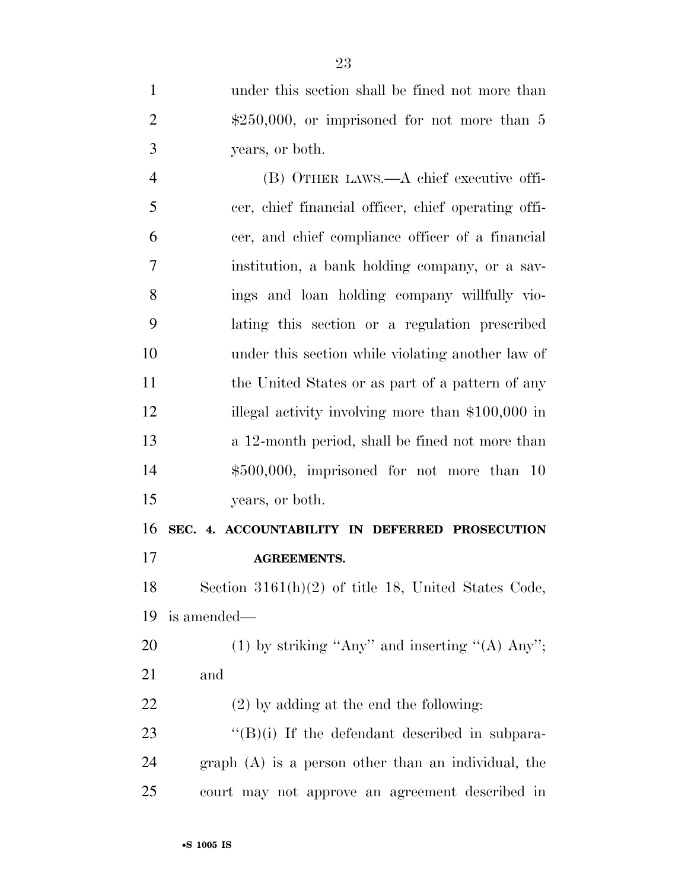under this section shall be fined not more than 2 \$250,000, or imprisoned for not more than 5 years, or both.

 (B) OTHER LAWS.—A chief executive offi- cer, chief financial officer, chief operating offi- cer, and chief compliance officer of a financial institution, a bank holding company, or a sav- ings and loan holding company willfully vio- lating this section or a regulation prescribed under this section while violating another law of 11 the United States or as part of a pattern of any 12 illegal activity involving more than \$100,000 in a 12-month period, shall be fined not more than \$500,000, imprisoned for not more than 10 years, or both.

 **SEC. 4. ACCOUNTABILITY IN DEFERRED PROSECUTION AGREEMENTS.** 

 Section 3161(h)(2) of title 18, United States Code, is amended—

20 (1) by striking "Any" and inserting " $(A)$  Any"; and

(2) by adding at the end the following:

23 "(B)(i) If the defendant described in subpara- graph (A) is a person other than an individual, the court may not approve an agreement described in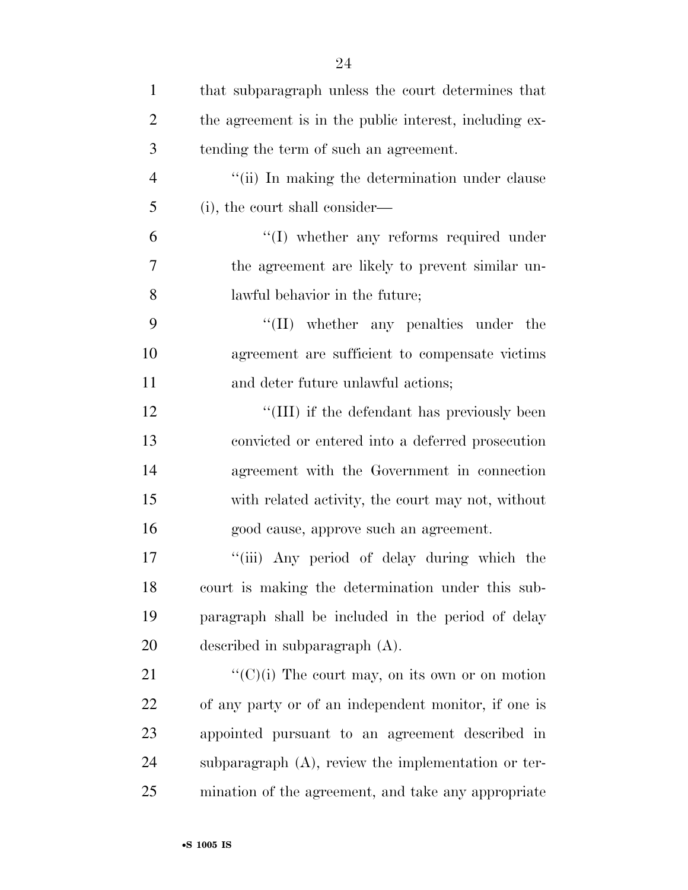| $\mathbf{1}$   | that subparagraph unless the court determines that     |
|----------------|--------------------------------------------------------|
| $\overline{2}$ | the agreement is in the public interest, including ex- |
| 3              | tending the term of such an agreement.                 |
| $\overline{4}$ | "(ii) In making the determination under clause         |
| 5              | (i), the court shall consider—                         |
| 6              | $\lq\lq$ whether any reforms required under            |
| 7              | the agreement are likely to prevent similar un-        |
| 8              | lawful behavior in the future;                         |
| 9              | "(II) whether any penalties under the                  |
| 10             | agreement are sufficient to compensate victims         |
| 11             | and deter future unlawful actions;                     |
| 12             | "(III) if the defendant has previously been            |
| 13             | convicted or entered into a deferred prosecution       |
| 14             | agreement with the Government in connection            |
| 15             | with related activity, the court may not, without      |
| 16             | good cause, approve such an agreement.                 |
| 17             | "(iii) Any period of delay during which the            |
| 18             | court is making the determination under this sub-      |
| 19             | paragraph shall be included in the period of delay     |
| 20             | described in subparagraph (A).                         |
| 21             | " $(C)(i)$ The court may, on its own or on motion      |
| 22             | of any party or of an independent monitor, if one is   |
| 23             | appointed pursuant to an agreement described in        |
| 24             | subparagraph $(A)$ , review the implementation or ter- |
| 25             | mination of the agreement, and take any appropriate    |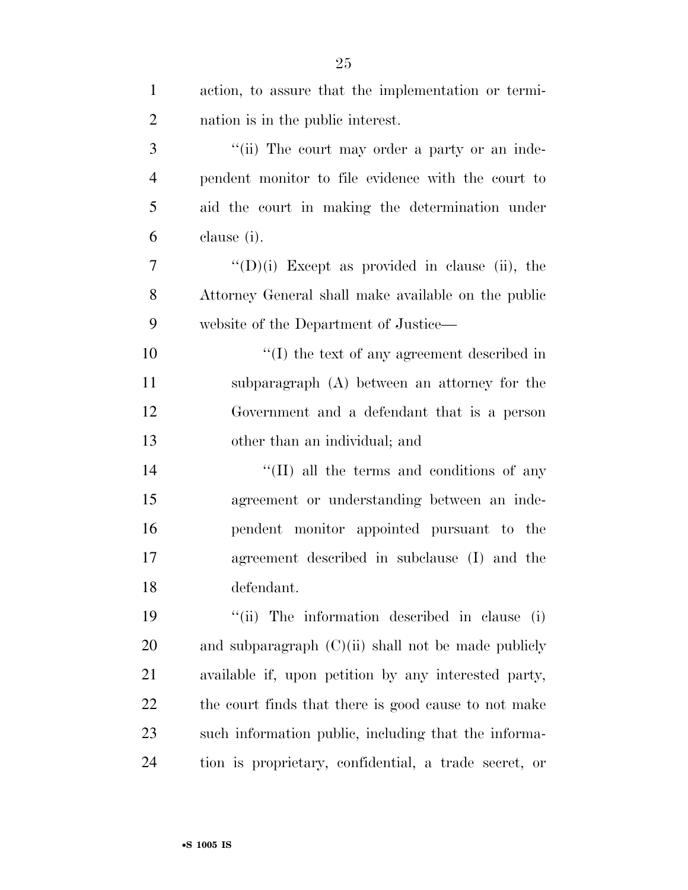| $\mathbf{1}$   | action, to assure that the implementation or termi-    |
|----------------|--------------------------------------------------------|
| $\overline{2}$ | nation is in the public interest.                      |
| 3              | "(ii) The court may order a party or an inde-          |
| $\overline{4}$ | pendent monitor to file evidence with the court to     |
| 5              | aid the court in making the determination under        |
| 6              | clause (i).                                            |
| $\overline{7}$ | $\lq\lq$ (D)(i) Except as provided in clause (ii), the |
| 8              | Attorney General shall make available on the public    |
| 9              | website of the Department of Justice—                  |
| 10             | $\lq\lq$ the text of any agreement described in        |
| 11             | subparagraph (A) between an attorney for the           |
| 12             | Government and a defendant that is a person            |
| 13             | other than an individual; and                          |
| 14             | "(II) all the terms and conditions of any              |
| 15             | agreement or understanding between an inde-            |
| 16             | pendent monitor appointed pursuant to the              |
| 17             | agreement described in subclause (I) and the           |
| 18             | defendant.                                             |
| 19             | "(ii) The information described in clause (i)          |
| 20             | and subparagraph $(C)(ii)$ shall not be made publicly  |
| 21             | available if, upon petition by any interested party,   |
| 22             | the court finds that there is good cause to not make   |
| 23             | such information public, including that the informa-   |
| 24             | tion is proprietary, confidential, a trade secret, or  |